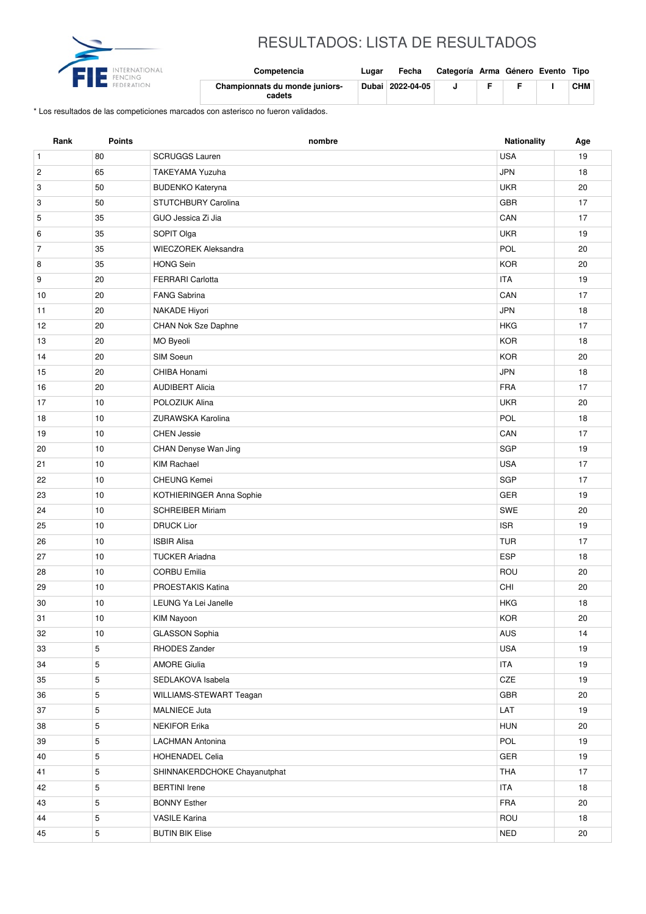

## RESULTADOS: LISTA DE RESULTADOS

| FENCING | Competencia                              | Lugar | Fecha            | Categoría Arma Género Evento Tipo |  |            |
|---------|------------------------------------------|-------|------------------|-----------------------------------|--|------------|
|         | Championnats du monde juniors-<br>cadets |       | Dubai 2022-04-05 |                                   |  | <b>CHM</b> |

\* Los resultados de las competiciones marcados con asterisco no fueron validados.

| Rank           | <b>Points</b> | nombre                       | Nationality | Age    |
|----------------|---------------|------------------------------|-------------|--------|
| $\mathbf{1}$   | 80            | <b>SCRUGGS Lauren</b>        | <b>USA</b>  | 19     |
| $\sqrt{2}$     | 65            | <b>TAKEYAMA Yuzuha</b>       | <b>JPN</b>  | 18     |
| 3              | 50            | <b>BUDENKO Kateryna</b>      | <b>UKR</b>  | 20     |
| 3              | 50            | STUTCHBURY Carolina          | <b>GBR</b>  | 17     |
| 5              | 35            | GUO Jessica Zi Jia           | CAN         | 17     |
| 6              | 35            | SOPIT Olga                   | <b>UKR</b>  | 19     |
| $\overline{7}$ | 35            | <b>WIECZOREK Aleksandra</b>  | POL         | 20     |
| 8              | 35            | <b>HONG Sein</b>             | <b>KOR</b>  | 20     |
| 9              | 20            | <b>FERRARI Carlotta</b>      | <b>ITA</b>  | 19     |
| 10             | 20            | <b>FANG Sabrina</b>          | CAN         | 17     |
| 11             | 20            | NAKADE Hiyori                | <b>JPN</b>  | 18     |
| 12             | 20            | CHAN Nok Sze Daphne          | <b>HKG</b>  | 17     |
| 13             | 20            | MO Byeoli                    | <b>KOR</b>  | 18     |
| 14             | 20            | SIM Soeun                    | <b>KOR</b>  | 20     |
| 15             | 20            | CHIBA Honami                 | <b>JPN</b>  | 18     |
| 16             | 20            | <b>AUDIBERT Alicia</b>       | <b>FRA</b>  | 17     |
| 17             | 10            | POLOZIUK Alina               | <b>UKR</b>  | 20     |
| 18             | 10            | ZURAWSKA Karolina            | POL         | 18     |
| 19             | 10            | <b>CHEN Jessie</b>           | CAN         | 17     |
| 20             | 10            | CHAN Denyse Wan Jing         | SGP         | 19     |
| 21             | 10            | <b>KIM Rachael</b>           | <b>USA</b>  | 17     |
| 22             | 10            | <b>CHEUNG Kemei</b>          | <b>SGP</b>  | 17     |
| 23             | 10            | KOTHIERINGER Anna Sophie     | GER         | 19     |
| 24             | 10            | <b>SCHREIBER Miriam</b>      | SWE         | 20     |
| 25             | 10            | <b>DRUCK Lior</b>            | <b>ISR</b>  | 19     |
| 26             | 10            | <b>ISBIR Alisa</b>           | <b>TUR</b>  | 17     |
| 27             | 10            | <b>TUCKER Ariadna</b>        | <b>ESP</b>  | 18     |
| 28             | 10            | <b>CORBU Emilia</b>          | ROU         | 20     |
| 29             | 10            | PROESTAKIS Katina            | CHI         | 20     |
| 30             | 10            | LEUNG Ya Lei Janelle         | <b>HKG</b>  | 18     |
| 31             | $10$          | KIM Nayoon                   | KOR         | $20\,$ |
| 32             | 10            | <b>GLASSON Sophia</b>        | AUS         | 14     |
| 33             | 5             | RHODES Zander                | USA         | 19     |
| 34             | $\,$ 5 $\,$   | <b>AMORE Giulia</b>          | <b>ITA</b>  | 19     |
| 35             | $\sqrt{5}$    | SEDLAKOVA Isabela            | CZE         | 19     |
| 36             | 5             | WILLIAMS-STEWART Teagan      | GBR         | 20     |
| 37             | $\sqrt{5}$    | <b>MALNIECE Juta</b>         | LAT         | 19     |
| 38             | 5             | <b>NEKIFOR Erika</b>         | <b>HUN</b>  | 20     |
| 39             | $\,$ 5 $\,$   | <b>LACHMAN Antonina</b>      | POL         | 19     |
| 40             | $\,$ 5 $\,$   | HOHENADEL Celia              | GER         | 19     |
| 41             | 5             | SHINNAKERDCHOKE Chayanutphat | THA         | 17     |
| 42             | 5             | <b>BERTINI</b> Irene         | <b>ITA</b>  | 18     |
| 43             | $\,$ 5 $\,$   | <b>BONNY Esther</b>          | FRA         | 20     |
| 44             | $\sqrt{5}$    | <b>VASILE Karina</b>         | ROU         | 18     |
| 45             | 5             | <b>BUTIN BIK Elise</b>       | <b>NED</b>  | 20     |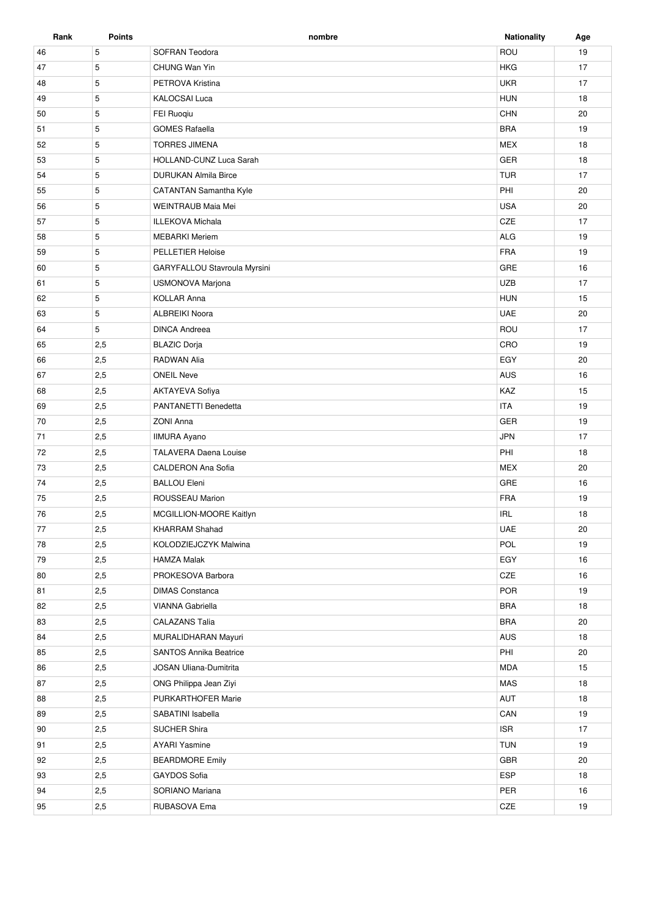| Rank | Points | nombre                        | <b>Nationality</b> | Age |
|------|--------|-------------------------------|--------------------|-----|
| 46   | 5      | SOFRAN Teodora                | ROU                | 19  |
| 47   | 5      | CHUNG Wan Yin                 | <b>HKG</b>         | 17  |
| 48   | 5      | PETROVA Kristina              | <b>UKR</b>         | 17  |
| 49   | 5      | <b>KALOCSAI Luca</b>          | <b>HUN</b>         | 18  |
| 50   | 5      | FEI Ruoqiu                    | CHN                | 20  |
| 51   | 5      | <b>GOMES Rafaella</b>         | <b>BRA</b>         | 19  |
| 52   | 5      | <b>TORRES JIMENA</b>          | <b>MEX</b>         | 18  |
| 53   | 5      | HOLLAND-CUNZ Luca Sarah       | GER                | 18  |
| 54   | 5      | <b>DURUKAN Almila Birce</b>   | <b>TUR</b>         | 17  |
| 55   | 5      | <b>CATANTAN Samantha Kyle</b> | PHI                | 20  |
| 56   | 5      | WEINTRAUB Maia Mei            | <b>USA</b>         | 20  |
| 57   | 5      | <b>ILLEKOVA Michala</b>       | CZE                | 17  |
| 58   | 5      | <b>MEBARKI Meriem</b>         | <b>ALG</b>         | 19  |
| 59   | 5      | <b>PELLETIER Heloise</b>      | <b>FRA</b>         | 19  |
| 60   | 5      | GARYFALLOU Stavroula Myrsini  | GRE                | 16  |
|      | 5      | <b>USMONOVA Marjona</b>       | <b>UZB</b>         | 17  |
| 61   |        |                               |                    |     |
| 62   | 5      | <b>KOLLAR Anna</b>            | <b>HUN</b>         | 15  |
| 63   | 5      | <b>ALBREIKI Noora</b>         | <b>UAE</b>         | 20  |
| 64   | 5      | <b>DINCA Andreea</b>          | ROU                | 17  |
| 65   | 2,5    | <b>BLAZIC Doria</b>           | CRO                | 19  |
| 66   | 2,5    | <b>RADWAN Alia</b>            | EGY                | 20  |
| 67   | 2,5    | <b>ONEIL Neve</b>             | AUS                | 16  |
| 68   | 2,5    | <b>AKTAYEVA Sofiya</b>        | KAZ                | 15  |
| 69   | 2,5    | PANTANETTI Benedetta          | <b>ITA</b>         | 19  |
| 70   | 2,5    | <b>ZONI Anna</b>              | GER                | 19  |
| 71   | 2,5    | <b>IIMURA Ayano</b>           | <b>JPN</b>         | 17  |
| 72   | 2,5    | <b>TALAVERA Daena Louise</b>  | PHI                | 18  |
| 73   | 2,5    | CALDERON Ana Sofia            | <b>MEX</b>         | 20  |
| 74   | 2,5    | <b>BALLOU Eleni</b>           | GRE                | 16  |
| 75   | 2,5    | ROUSSEAU Marion               | <b>FRA</b>         | 19  |
| 76   | 2,5    | MCGILLION-MOORE Kaitlyn       | <b>IRL</b>         | 18  |
| 77   | 2,5    | <b>KHARRAM Shahad</b>         | <b>UAE</b>         | 20  |
| 78   | 2,5    | KOLODZIEJCZYK Malwina         | POL                | 19  |
| 79   | 2,5    | HAMZA Malak                   | EGY                | 16  |
| 80   | 2,5    | PROKESOVA Barbora             | CZE                | 16  |
| 81   | 2,5    | <b>DIMAS Constanca</b>        | <b>POR</b>         | 19  |
| 82   | 2,5    | VIANNA Gabriella              | <b>BRA</b>         | 18  |
| 83   | 2,5    | <b>CALAZANS Talia</b>         | <b>BRA</b>         | 20  |
| 84   | 2,5    | MURALIDHARAN Mayuri           | <b>AUS</b>         | 18  |
| 85   | 2,5    | <b>SANTOS Annika Beatrice</b> | PHI                | 20  |
| 86   | 2,5    | <b>JOSAN Uliana-Dumitrita</b> | <b>MDA</b>         | 15  |
| 87   | 2,5    | ONG Philippa Jean Ziyi        | MAS                | 18  |
| 88   | 2,5    | PURKARTHOFER Marie            | AUT                | 18  |
| 89   | 2,5    | SABATINI Isabella             | CAN                | 19  |
| 90   | 2,5    | SUCHER Shira                  | <b>ISR</b>         | 17  |
| 91   | 2,5    | AYARI Yasmine                 | <b>TUN</b>         | 19  |
| 92   | 2,5    | <b>BEARDMORE Emily</b>        | GBR                | 20  |
| 93   | 2,5    | GAYDOS Sofia                  | <b>ESP</b>         | 18  |
| 94   | 2,5    | SORIANO Mariana               | PER                | 16  |
|      |        |                               |                    |     |
| 95   | 2,5    | RUBASOVA Ema                  | CZE                | 19  |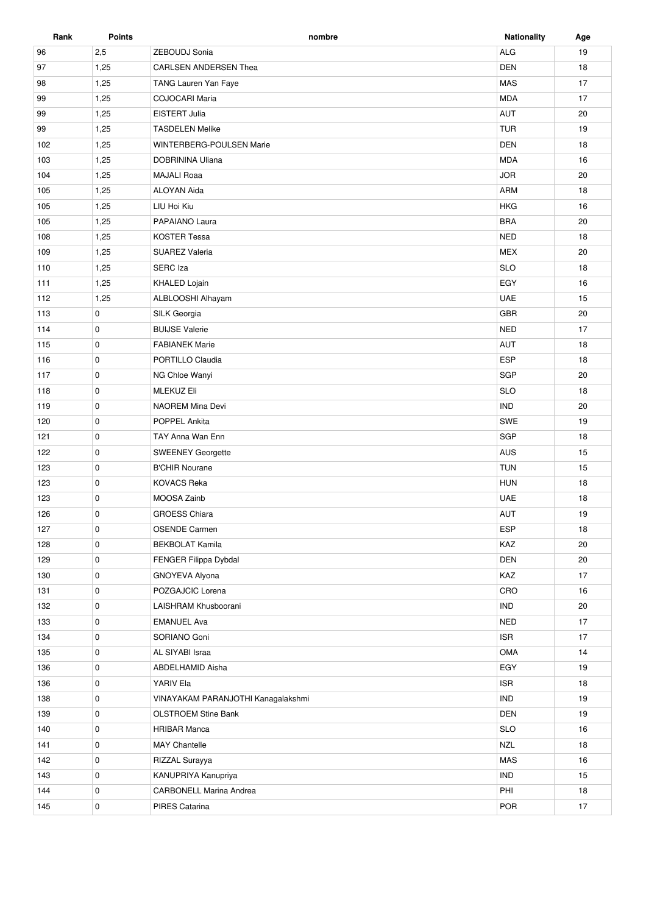| Rank | <b>Points</b> | nombre                             | <b>Nationality</b> | Age |
|------|---------------|------------------------------------|--------------------|-----|
| 96   | 2,5           | ZEBOUDJ Sonia                      | <b>ALG</b>         | 19  |
| 97   | 1,25          | CARLSEN ANDERSEN Thea              | <b>DEN</b>         | 18  |
| 98   | 1,25          | TANG Lauren Yan Faye               | <b>MAS</b>         | 17  |
| 99   | 1,25          | COJOCARI Maria                     | <b>MDA</b>         | 17  |
| 99   | 1,25          | EISTERT Julia                      | AUT                | 20  |
| 99   | 1,25          | <b>TASDELEN Melike</b>             | <b>TUR</b>         | 19  |
| 102  | 1,25          | <b>WINTERBERG-POULSEN Marie</b>    | <b>DEN</b>         | 18  |
| 103  | 1,25          | <b>DOBRININA Uliana</b>            | <b>MDA</b>         | 16  |
| 104  | 1,25          | <b>MAJALI Roaa</b>                 | <b>JOR</b>         | 20  |
| 105  | 1,25          | <b>ALOYAN Aida</b>                 | ARM                | 18  |
| 105  | 1,25          | LIU Hoi Kiu                        | <b>HKG</b>         | 16  |
| 105  | 1,25          | PAPAIANO Laura                     | <b>BRA</b>         | 20  |
| 108  | 1,25          | <b>KOSTER Tessa</b>                | <b>NED</b>         | 18  |
| 109  | 1,25          | <b>SUAREZ Valeria</b>              | <b>MEX</b>         | 20  |
| 110  | 1,25          | SERC Iza                           | <b>SLO</b>         | 18  |
| 111  | 1,25          | <b>KHALED Lojain</b>               | EGY                | 16  |
| 112  | 1,25          | ALBLOOSHI Alhayam                  | <b>UAE</b>         | 15  |
| 113  | 0             | SILK Georgia                       | <b>GBR</b>         | 20  |
| 114  | $\mathbf 0$   | <b>BUIJSE Valerie</b>              | <b>NED</b>         | 17  |
| 115  | 0             | <b>FABIANEK Marie</b>              | <b>AUT</b>         | 18  |
| 116  | 0             | PORTILLO Claudia                   | <b>ESP</b>         | 18  |
| 117  | 0             | NG Chloe Wanyi                     | <b>SGP</b>         | 20  |
| 118  | 0             | <b>MLEKUZ Eli</b>                  | <b>SLO</b>         | 18  |
|      | 0             | <b>NAOREM Mina Devi</b>            | <b>IND</b>         | 20  |
| 119  |               |                                    |                    |     |
| 120  | 0             | POPPEL Ankita                      | SWE                | 19  |
| 121  | 0             | TAY Anna Wan Enn                   | SGP                | 18  |
| 122  | 0             | <b>SWEENEY Georgette</b>           | AUS                | 15  |
| 123  | $\mathbf 0$   | <b>B'CHIR Nourane</b>              | <b>TUN</b>         | 15  |
| 123  | 0             | <b>KOVACS Reka</b>                 | <b>HUN</b>         | 18  |
| 123  | 0             | MOOSA Zainb                        | <b>UAE</b>         | 18  |
| 126  | 0             | <b>GROESS Chiara</b>               | AUT                | 19  |
| 127  | 0             | OSENDE Carmen                      | <b>ESP</b>         | 18  |
| 128  | 0             | <b>BEKBOLAT Kamila</b>             | KAZ                | 20  |
| 129  | 0             | FENGER Filippa Dybdal              | DEN                | 20  |
| 130  | 0             | GNOYEVA Alyona                     | KAZ                | 17  |
| 131  | 0             | POZGAJCIC Lorena                   | CRO                | 16  |
| 132  | 0             | LAISHRAM Khusboorani               | <b>IND</b>         | 20  |
| 133  | 0             | <b>EMANUEL Ava</b>                 | <b>NED</b>         | 17  |
| 134  | 0             | SORIANO Goni                       | <b>ISR</b>         | 17  |
| 135  | 0             | AL SIYABI Israa                    | OMA                | 14  |
| 136  | 0             | ABDELHAMID Aisha                   | EGY                | 19  |
| 136  | 0             | YARIV Ela                          | <b>ISR</b>         | 18  |
| 138  | 0             | VINAYAKAM PARANJOTHI Kanagalakshmi | <b>IND</b>         | 19  |
| 139  | 0             | <b>OLSTROEM Stine Bank</b>         | DEN                | 19  |
| 140  | 0             | <b>HRIBAR Manca</b>                | <b>SLO</b>         | 16  |
| 141  | 0             | MAY Chantelle                      | <b>NZL</b>         | 18  |
| 142  | 0             | RIZZAL Surayya                     | MAS                | 16  |
| 143  | 0             | KANUPRIYA Kanupriya                | <b>IND</b>         | 15  |
| 144  | 0             | <b>CARBONELL Marina Andrea</b>     | PHI                | 18  |
| 145  | 0             | PIRES Catarina                     | POR                | 17  |